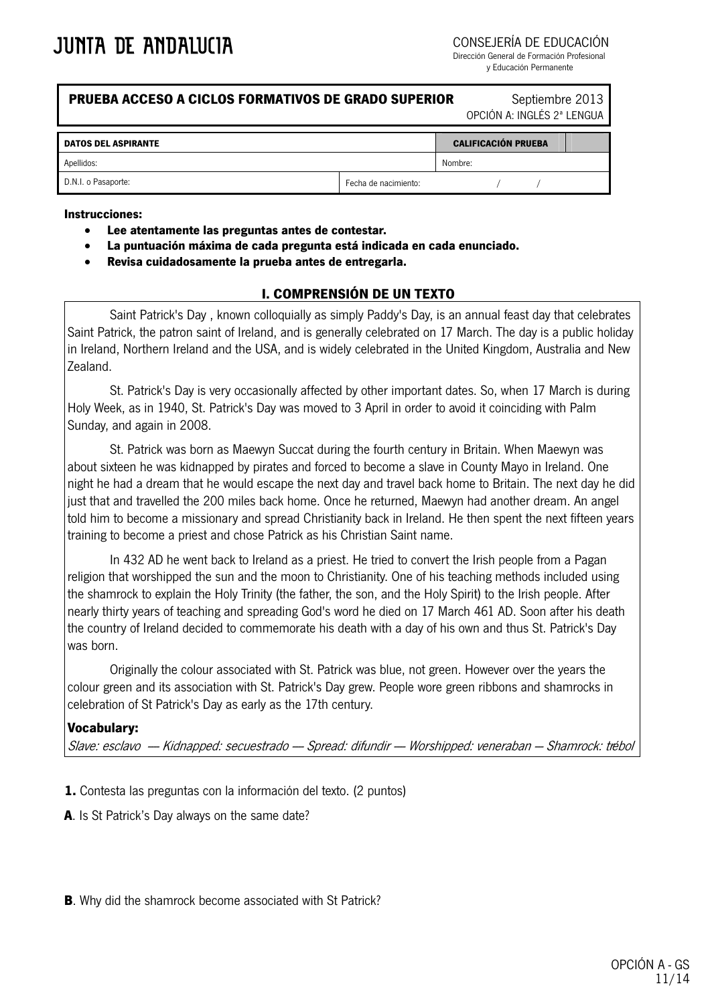CONSEJERÍA DE EDUCACIÓN

Dirección General de Formación Profesional y Educación Permanente

## **PRUEBA ACCESO A CICLOS FORMATIVOS DE GRADO SUPERIOR Septiembre 2013**

OPCIÓN A: INGLÉS 2ª LENGUA

| <b>DATOS DEL ASPIRANTE</b> |                      | <b>CALIFICACIÓN PRUEBA</b> |  |  |  |
|----------------------------|----------------------|----------------------------|--|--|--|
| Apellidos:                 |                      | Nombre:                    |  |  |  |
| D.N.I. o Pasaporte:        | Fecha de nacimiento: |                            |  |  |  |

#### **Instrucciones:**

- **Lee atentamente las preguntas antes de contestar.**
- **La puntuación máxima de cada pregunta está indicada en cada enunciado.**
- **Revisa cuidadosamente la prueba antes de entregarla.**

### **I. COMPRENSIÓN DE UN TEXTO**

Saint Patrick's Day , known colloquially as simply Paddy's Day, is an annual feast day that celebrates Saint Patrick, the patron saint of Ireland, and is generally celebrated on 17 March. The day is a public holiday in Ireland, Northern Ireland and the USA, and is widely celebrated in the United Kingdom, Australia and New Zealand.

St. Patrick's Day is very occasionally affected by other important dates. So, when 17 March is during Holy Week, as in 1940, St. Patrick's Day was moved to 3 April in order to avoid it coinciding with Palm Sunday, and again in 2008.

St. Patrick was born as Maewyn Succat during the fourth century in Britain. When Maewyn was about sixteen he was kidnapped by pirates and forced to become a slave in County Mayo in Ireland. One night he had a dream that he would escape the next day and travel back home to Britain. The next day he did just that and travelled the 200 miles back home. Once he returned, Maewyn had another dream. An angel told him to become a missionary and spread Christianity back in Ireland. He then spent the next fifteen years training to become a priest and chose Patrick as his Christian Saint name.

In 432 AD he went back to Ireland as a priest. He tried to convert the Irish people from a Pagan religion that worshipped the sun and the moon to Christianity. One of his teaching methods included using the shamrock to explain the Holy Trinity (the father, the son, and the Holy Spirit) to the Irish people. After nearly thirty years of teaching and spreading God's word he died on 17 March 461 AD. Soon after his death the country of Ireland decided to commemorate his death with a day of his own and thus St. Patrick's Day was born.

Originally the colour associated with St. Patrick was blue, not green. However over the years the colour green and its association with St. Patrick's Day grew. People wore green ribbons and shamrocks in celebration of St Patrick's Day as early as the 17th century.

#### **Vocabulary:**

Slave: esclavo — Kidnapped: secuestrado — Spread: difundir — Worshipped: veneraban — Shamrock: trébol

**1.** Contesta las preguntas con la información del texto. (2 puntos)

**A**. Is St Patrick's Day always on the same date?

**B**. Why did the shamrock become associated with St Patrick?